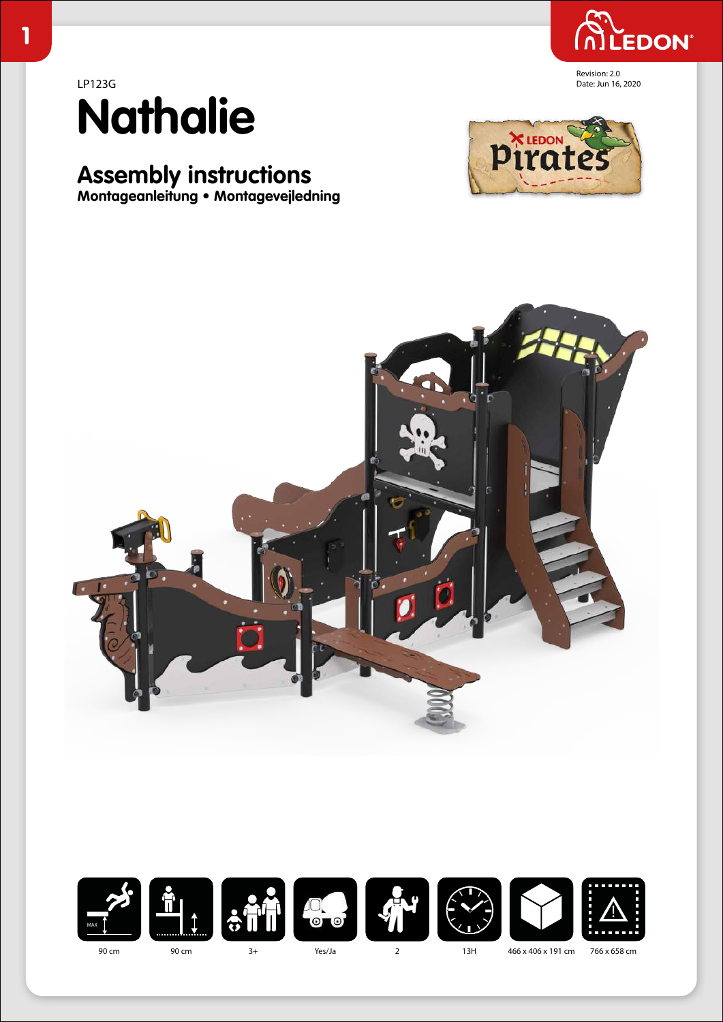

Date: Jun 16, 2020



# **Assembly instructions**

**Montageanleitung • Montagevejledning**







Yes/Ja

766 x 658 cm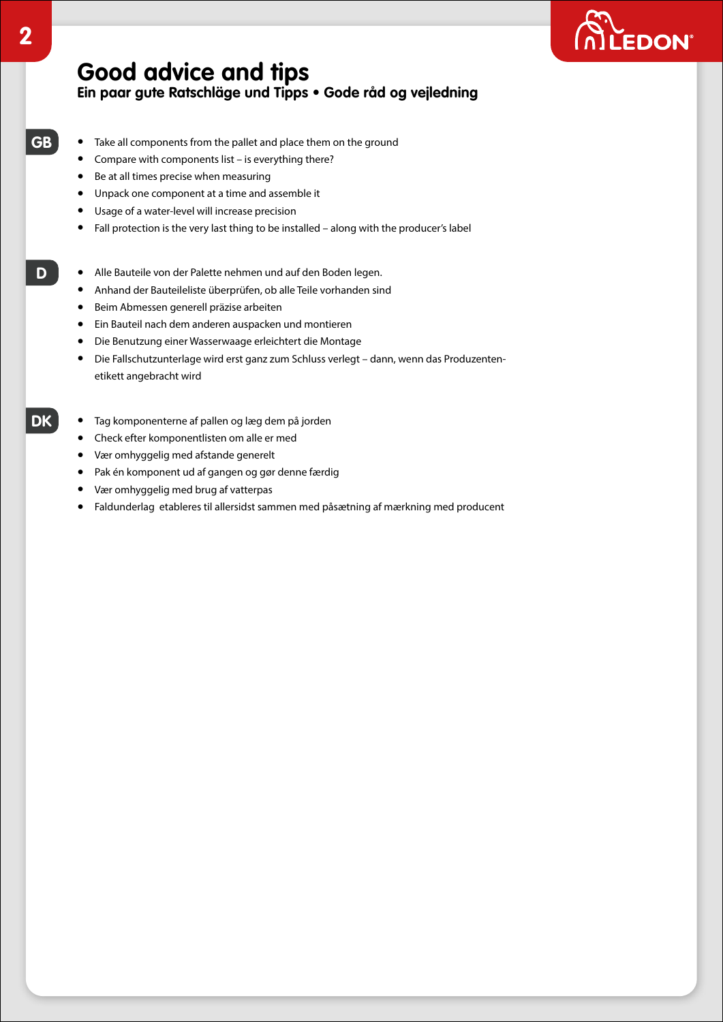

# **Good advice and tips**

#### **Ein paar gute Ratschläge und Tipps • Gode råd og vejledning**

- Take all components from the pallet and place them on the ground
	- Compare with components list is everything there?
	- Be at all times precise when measuring
	- Unpack one component at a time and assemble it
	- Usage of a water-level will increase precision
	- Fall protection is the very last thing to be installed along with the producer's label
- Alle Bauteile von der Palette nehmen und auf den Boden legen.
	- Anhand der Bauteileliste überprüfen, ob alle Teile vorhanden sind
	- Beim Abmessen generell präzise arbeiten
	- Ein Bauteil nach dem anderen auspacken und montieren
	- Die Benutzung einer Wasserwaage erleichtert die Montage
	- Die Fallschutzunterlage wird erst ganz zum Schluss verlegt dann, wenn das Produzentenetikett angebracht wird
	- Tag komponenterne af pallen og læg dem på jorden
		- Check efter komponentlisten om alle er med
		- Vær omhyggelig med afstande generelt
		- Pak én komponent ud af gangen og gør denne færdig
		- Vær omhyggelig med brug af vatterpas
		- Faldunderlag etableres til allersidst sammen med påsætning af mærkning med producent

**GB**

**D**

**DK**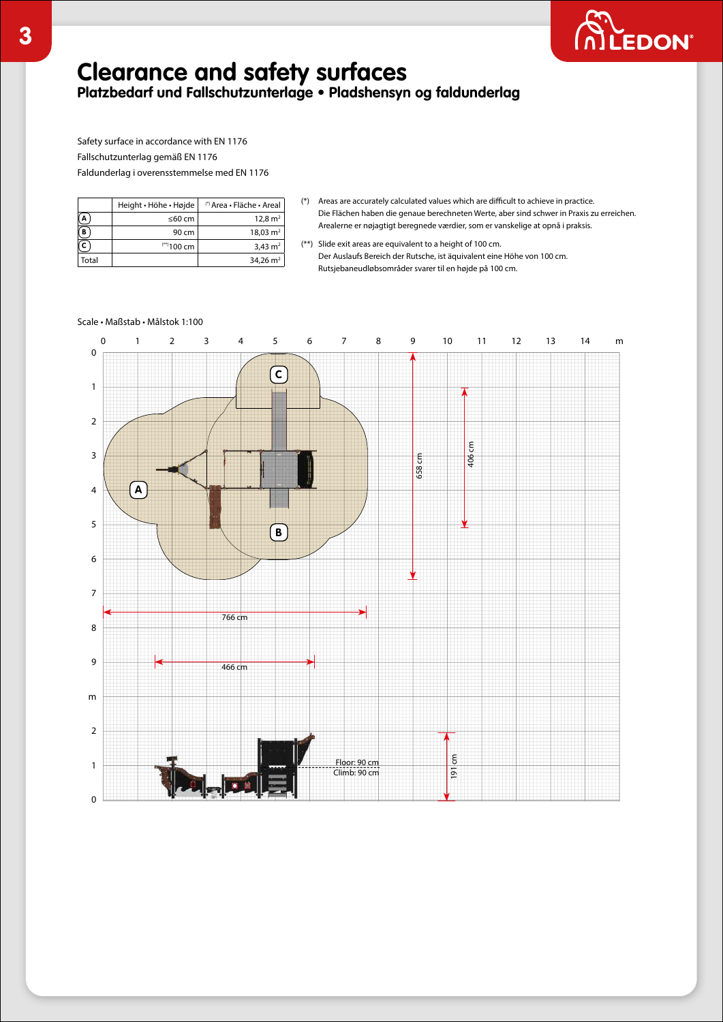

# **Clearance and safety surfaces**

**Platzbedarf und Fallschutzunterlage • Pladshensyn og faldunderlag**

Safety surface in accordance with EN 1176 Fallschutzunterlag gemäß EN 1176 Faldunderlag i overensstemmelse med EN 1176

|       | Height · Höhe · Højde | (*) Area • Fläche • Areal |
|-------|-----------------------|---------------------------|
|       | ≤60 cm                | 12.8 $m2$                 |
| в     | 90 cm                 | $18,03 \text{ m}^2$       |
|       | $***100$ cm           | 3,43 $m2$                 |
| Total |                       | $34.26 \text{ m}^2$       |

- (\*) Areas are accurately calculated values which are difficult to achieve in practice. Die Flächen haben die genaue berechneten Werte, aber sind schwer in Praxis zu erreichen. Arealerne er nøjagtigt beregnede værdier, som er vanskelige at opnå i praksis.
- (\*\*) Slide exit areas are equivalent to a height of 100 cm. Der Auslaufs Bereich der Rutsche, ist äquivalent eine Höhe von 100 cm. Rutsjebaneudløbsområder svarer til en højde på 100 cm.

#### Scale • Maßstab • Målstok 1:100

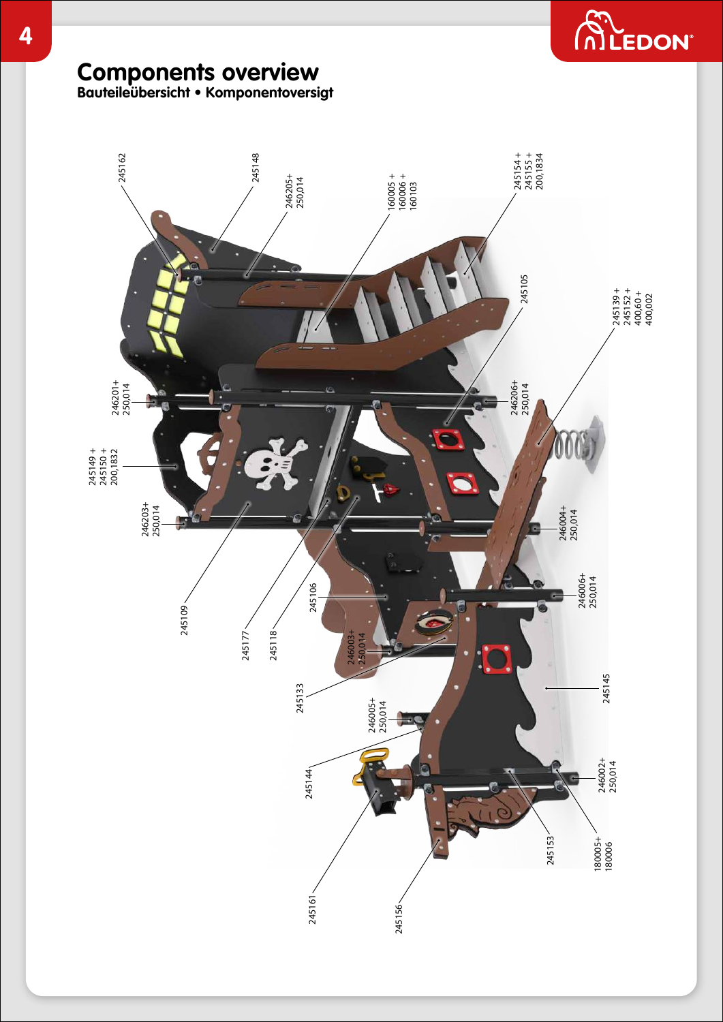

# **Components overview**

**Bauteileübersicht • Komponentoversigt**

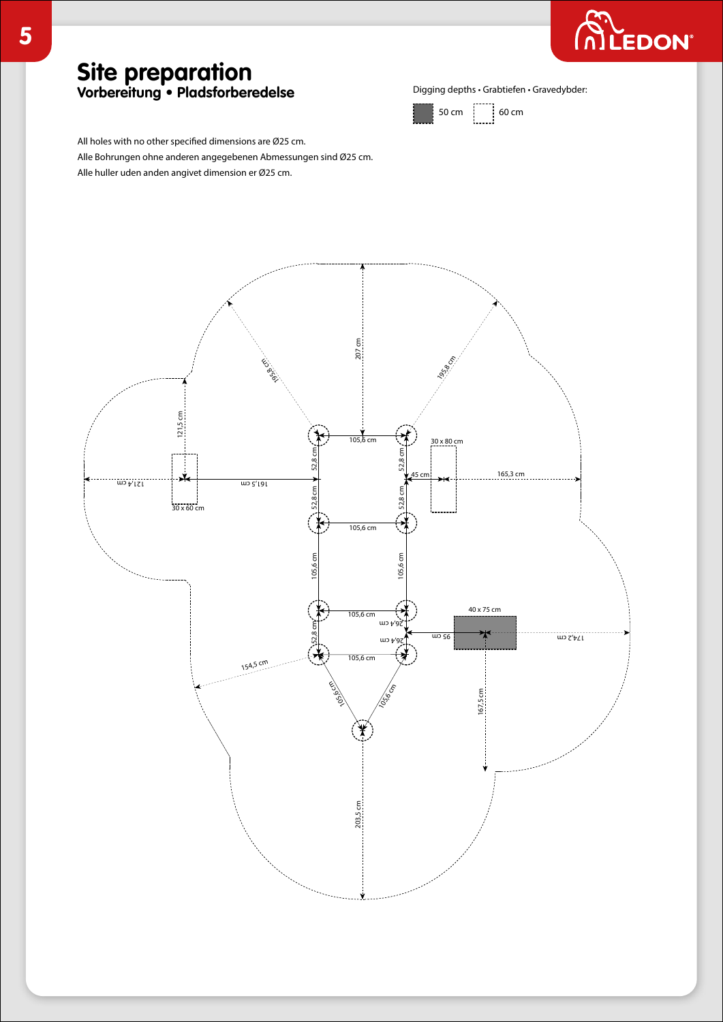

### **Site preparation Vorbereitung • Pladsforberedelse**

Digging depths • Grabtiefen • Gravedybder:



All holes with no other specified dimensions are Ø25 cm. Alle Bohrungen ohne anderen angegebenen Abmessungen sind Ø25 cm. Alle huller uden anden angivet dimension er Ø25 cm.

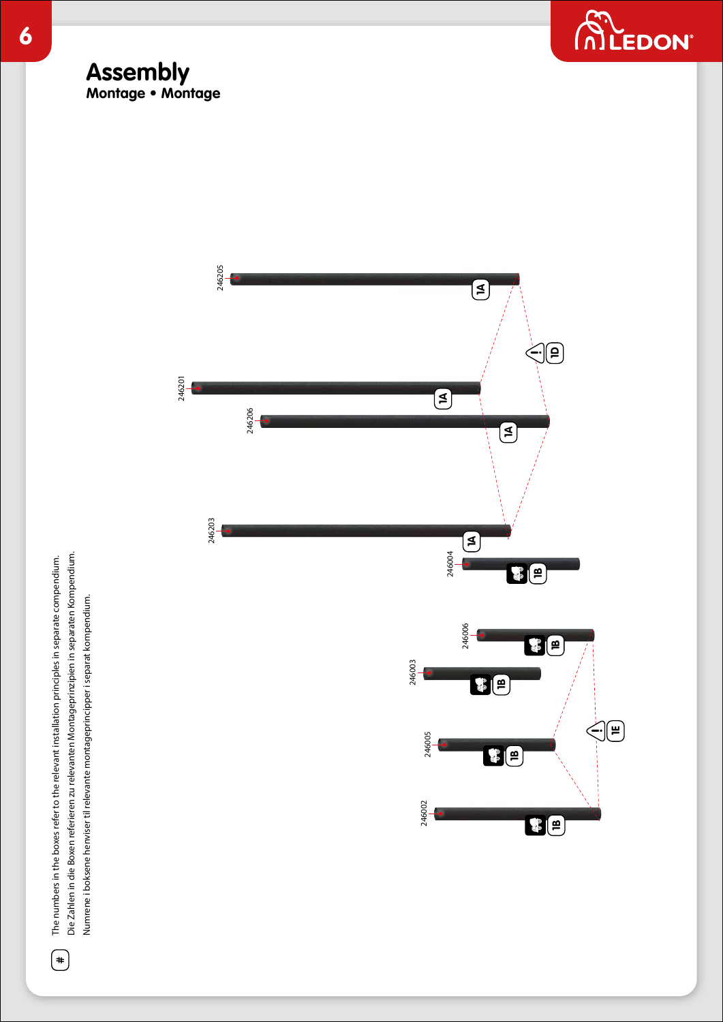





Die Zahlen in die Boxen referieren zu relevanten Montageprinzipien in separaten Kompendium. The numbers in the boxes refer to the relevant installation principles in separate compendium. Die Zahlen in die Boxen referieren zu relevanten Montageprinzipien in separaten Kompendium. The numbers in the boxes refer to the relevant installation principles in separate compendium. Numrene i boksene henviser til relevante montageprincipper i separat kompendium. Numrene i boksene henviser til relevante montageprincipper i separat kompendium.

**#**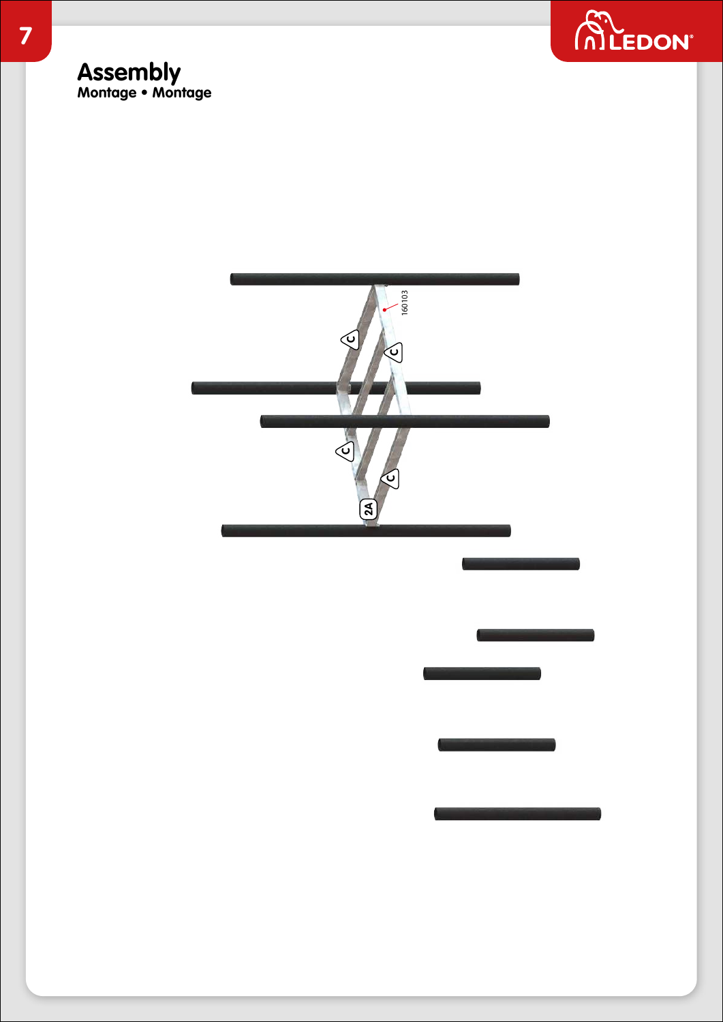

**7**

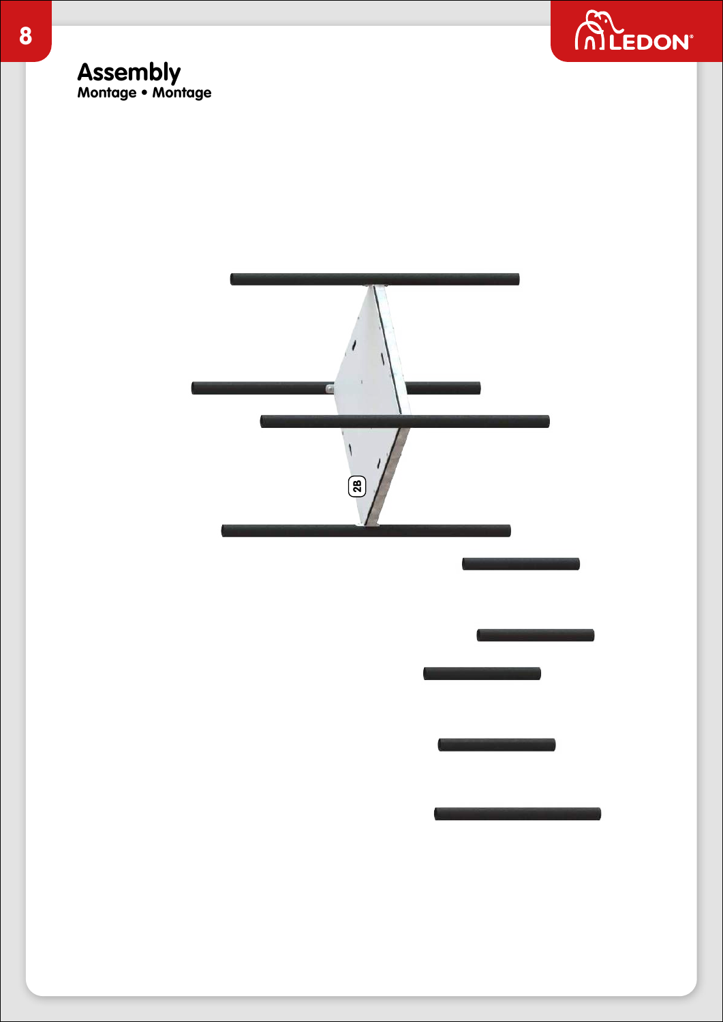



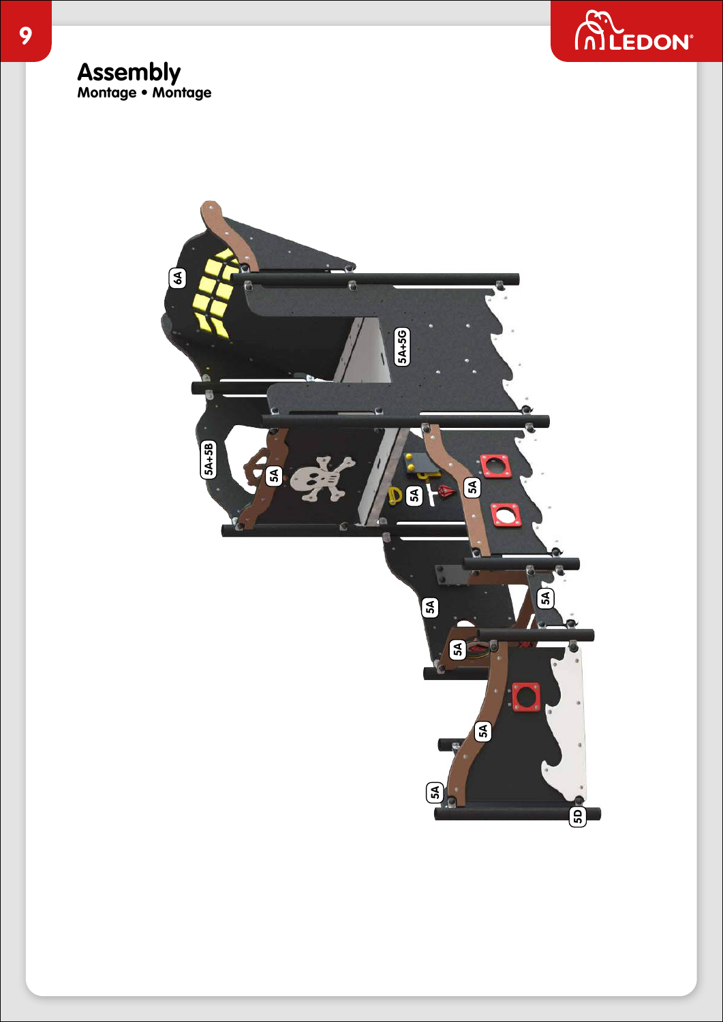



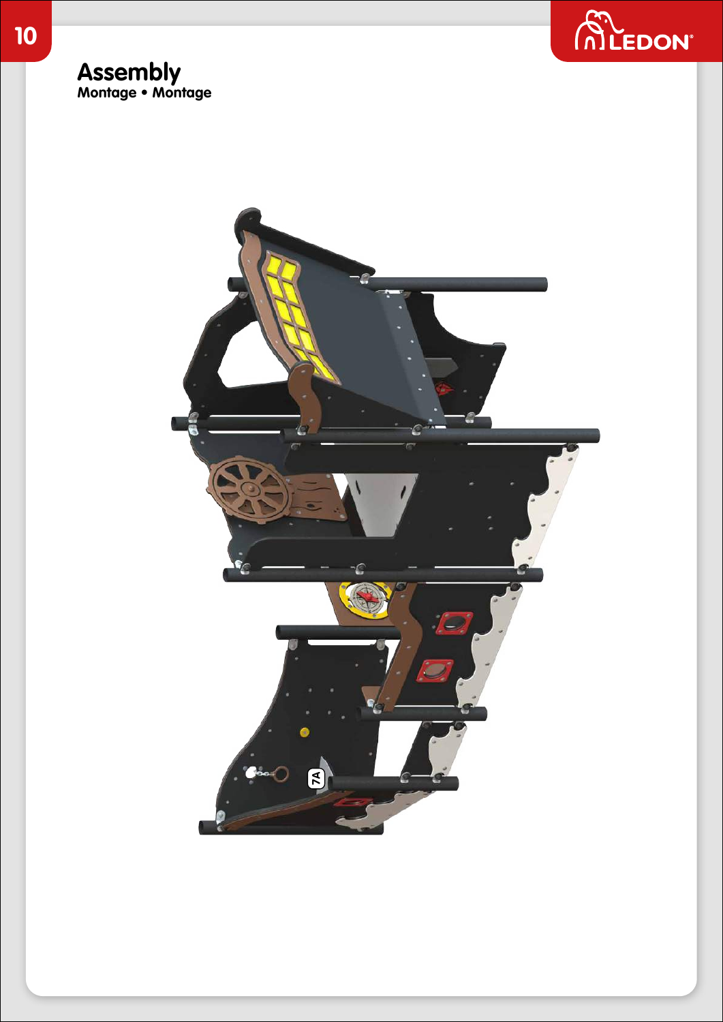

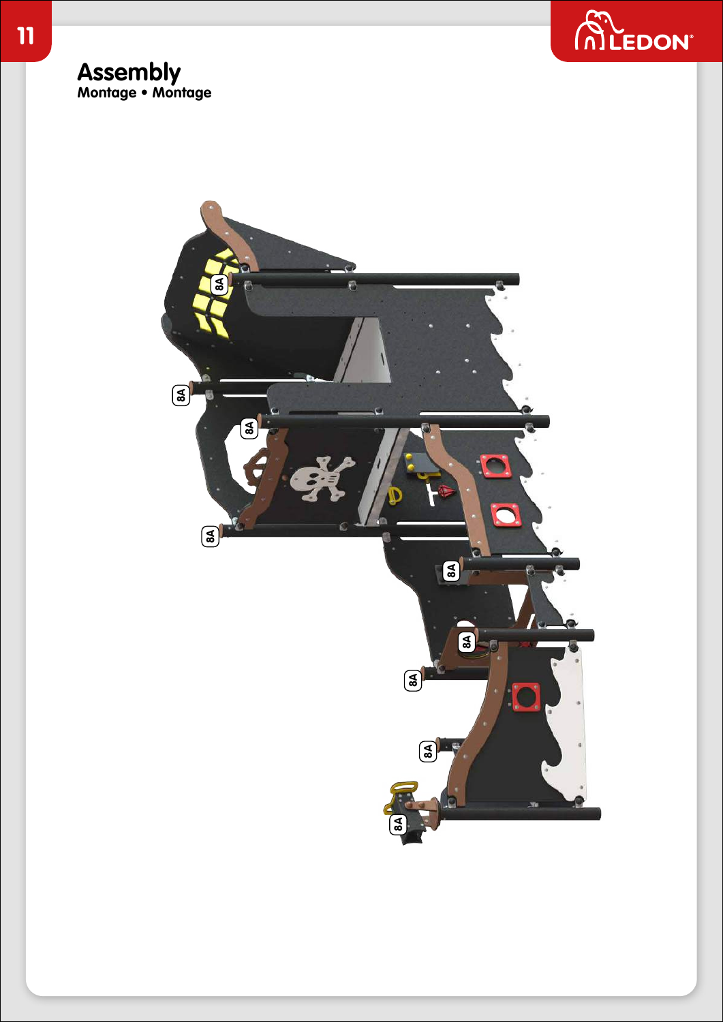

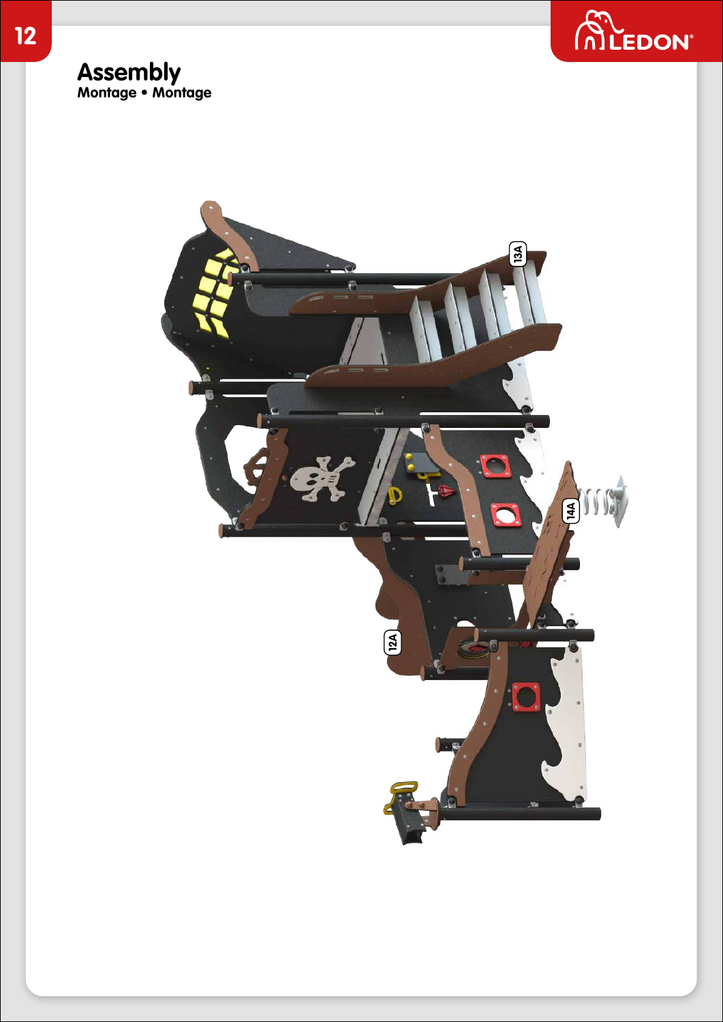

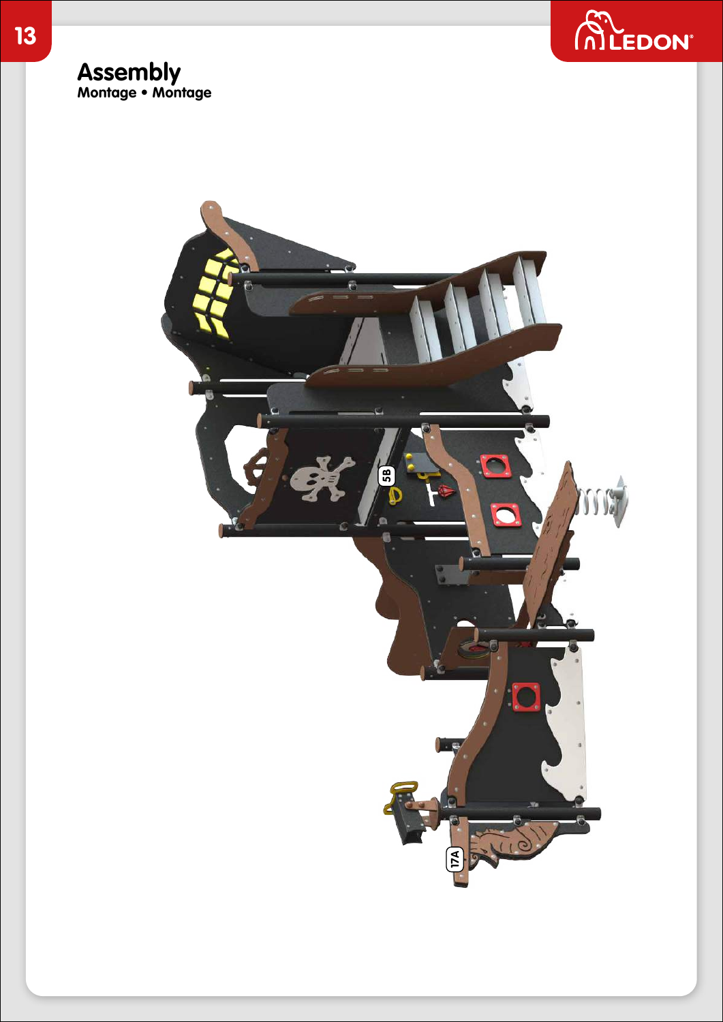